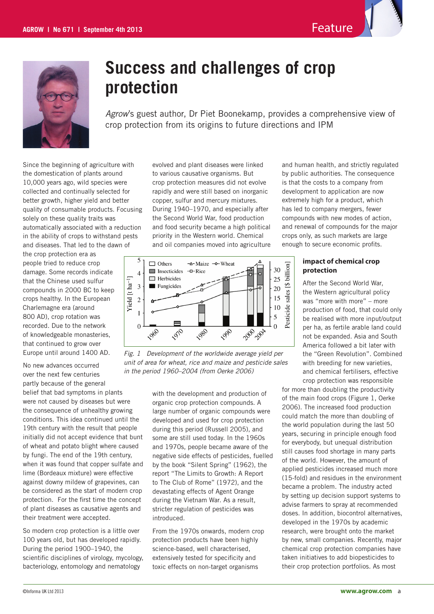



# **Success and challenges of crop protection**

*Agrow*'s guest author, Dr Piet Boonekamp, provides a comprehensive view of crop protection from its origins to future directions and IPM

Since the beginning of agriculture with the domestication of plants around 10,000 years ago, wild species were collected and continually selected for better growth, higher yield and better quality of consumable products. Focusing solely on these quality traits was automatically associated with a reduction in the ability of crops to withstand pests and diseases. That led to the dawn of

the crop protection era as people tried to reduce crop damage. Some records indicate that the Chinese used sulfur compounds in 2000 BC to keep crops healthy. In the European Charlemagne era (around 800 AD), crop rotation was recorded. Due to the network of knowledgeable monasteries, that continued to grow over Europe until around 1400 AD.

No new advances occurred over the next few centuries partly because of the general belief that bad symptoms in plants were not caused by diseases but were the consequence of unhealthy growing conditions. This idea continued until the 19th century with the result that people initially did not accept evidence that bunt of wheat and potato blight where caused by fungi. The end of the 19th century, when it was found that copper sulfate and lime (Bordeaux mixture) were effective against downy mildew of grapevines, can be considered as the start of modern crop protection. For the first time the concept of plant diseases as causative agents and their treatment were accepted.

So modern crop protection is a little over 100 years old, but has developed rapidly. During the period 1900–1940, the scientific disciplines of virology, mycology, bacteriology, entomology and nematology

evolved and plant diseases were linked to various causative organisms. But crop protection measures did not evolve rapidly and were still based on inorganic copper, sulfur and mercury mixtures. During 1940–1970, and especially after the Second World War, food production and food security became a high political priority in the Western world. Chemical and oil companies moved into agriculture



Fig. 1 Development of the worldwide average yield per be<sup>u</sup>t *unit of area for wheat, rice and maize and pesticide sales in the period 1960–2004 (from Oerke 2006)*

> with the development and production of organic crop protection compounds. A large number of organic compounds were developed and used for crop protection during this period (Russell 2005), and some are still used today. In the 1960s and 1970s, people became aware of the negative side effects of pesticides, fuelled by the book "Silent Spring" (1962), the report "The Limits to Growth: A Report to The Club of Rome" (1972), and the devastating effects of Agent Orange during the Vietnam War. As a result, stricter regulation of pesticides was introduced.

From the 1970s onwards, modern crop protection products have been highly science-based, well characterised, extensively tested for specificity and toxic effects on non-target organisms

and human health, and strictly regulated by public authorities. The consequence is that the costs to a company from development to application are now extremely high for a product, which has led to company mergers, fewer compounds with new modes of action, and renewal of compounds for the major crops only, as such markets are large enough to secure economic profits.

### **impact of chemical crop protection**

After the Second World War, the Western agricultural policy was "more with more" – more production of food, that could only be realised with more input/output per ha, as fertile arable land could not be expanded. Asia and South America followed a bit later with the "Green Revolution". Combined with breeding for new varieties, and chemical fertilisers, effective crop protection was responsible

for more than doubling the productivity of the main food crops (Figure 1, Oerke 2006). The increased food production could match the more than doubling of the world population during the last 50 years, securing in principle enough food for everybody, but unequal distribution still causes food shortage in many parts of the world. However, the amount of applied pesticides increased much more (15-fold) and residues in the environment became a problem. The industry acted by setting up decision support systems to advise farmers to spray at recommended doses. In addition, biocontrol alternatives, developed in the 1970s by academic research, were brought onto the market by new, small companies. Recently, major chemical crop protection companies have taken initiatives to add biopesticides to their crop protection portfolios. As most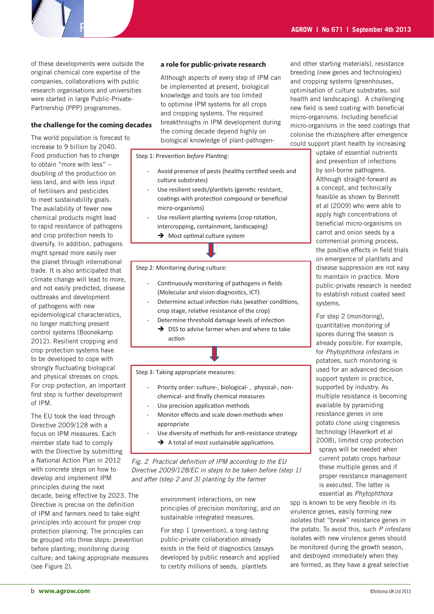of these developments were outside the original chemical core expertise of the companies, collaborations with public research organisations and universities were started in large Public-Private-Partnership (PPP) programmes.

#### **the challenge for the coming decades**

The world population is forecast to increase to 9 billion by 2040. Food production has to change to obtain "more with less" – doubling of the production on less land, and with less input of fertilisers and pesticides to meet sustainability goals. The availability of fewer new chemical products might lead to rapid resistance of pathogens and crop protection needs to diversify. In addition, pathogens might spread more easily over the planet through international trade. It is also anticipated that climate change will lead to more, and not easily predicted, disease outbreaks and development of pathogens with new epidemiological characteristics, no longer matching present control systems (Boonekamp 2012). Resilient cropping and crop protection systems have to be developed to cope with strongly fluctuating biological and physical stresses on crops. For crop protection, an important first step is further development of IPM.

The EU took the lead through Directive 2009/128 with a focus on IPM measures. Each member state had to comply with the Directive by submitting a National Action Plan in 2012 with concrete steps on how to develop and implement IPM principles during the next decade, being effective by 2023. The Directive is precise on the definition of IPM and farmers need to take eight principles into account for proper crop protection planning. The principles can be grouped into three steps: prevention before planting; monitoring during

culture; and taking appropriate measures (see Figure 2).

#### **a role for public-private research**

Although aspects of every step of IPM can be implemented at present, biological knowledge and tools are too limited to optimise IPM systems for all crops and cropping systems. The required breakthroughs in IPM development during the coming decade depend highly on **before** the coming decade depend highly on biological knowledge of plant-pathogendecades break infoughs in IPM development during micro-organisms in the seed coatings that

Step 1: Prevention *before* Planting:

- Avoid presence of pests (healthy certified seeds and culture substrates)
- Use resilient seeds/plantlets (genetic resistant, coatings with protection compound or beneficial micro-organisms)
- Use resilient planting systems (crop rotation, intercropping, containment, landscaping)
	- $\rightarrow$  Most optimal culture system

Step 2: Monitoring during culture:

- Continuously monitoring of pathogens in fields (Molecular and vision diagnostics, ICT)
- Determine actual infection risks (weather conditions, crop stage, relative resistance of the crop)
- Determine threshold damage levels of infection  $\rightarrow$  DSS to advise farmer when and where to take action

Step 3: Taking appropriate measures:

- Priority order: culture-, biological-, physical-, nonchemical- and finally chemical measures
- Use precision application methods
- Monitor effects and scale down methods when appropriate
	- Use diversity of methods for anti-resistance strategy  $\rightarrow$  A total of most sustainable applications.

*Fig. 2 Practical definition of IPM according to the EU Directive 2009/128/EC in steps to be taken before (step 1) and after (step 2 and 3) planting by the farmer*

> environment interactions, on new principles of precision monitoring, and on sustainable integrated measures.

> For step 1 (prevention), a long-lasting public-private collaboration already exists in the field of diagnostics (assays 2 developed by public research and applied to certify millions of seeds, plantlets

and other starting materials), resistance breeding (new genes and technologies) and cropping systems (greenhouses, optimisation of culture substrates, soil health and landscaping). A challenging new field is seed coating with beneficial micro-organisms. Including beneficial colonise the rhizosphere after emergence could support plant health by increasing

uptake of essential nutrients and prevention of infections by soil-borne pathogens. Although straight-forward as a concept, and technically feasible as shown by Bennett et al (2009) who were able to apply high concentrations of beneficial micro-organisms on carrot and onion seeds by a commercial priming process, the positive effects in field trials on emergence of plantlets and disease suppression are not easy to maintain in practice. More public-private research is needed to establish robust coated seed systems.

For step 2 (monitoring), quantitative monitoring of spores during the season is already possible. For example, for *Phytophthora infestans* in potatoes, such monitoring is used for an advanced decision support system in practice, supported by industry. As multiple resistance is becoming available by pyramiding resistance genes in one potato clone using cisgenesis technology (Haverkort et al 2008), limited crop protection sprays will be needed when current potato crops harbour these multiple genes and if proper resistance management is executed. The latter is essential as *Phytophthora* 

spp is known to be very flexible in its virulence genes, easily forming new isolates that "break" resistance genes in the potato. To avoid this, such *P infestans* isolates with new virulence genes should be monitored during the growth season, and destroyed immediately when they are formed, as they have a great selective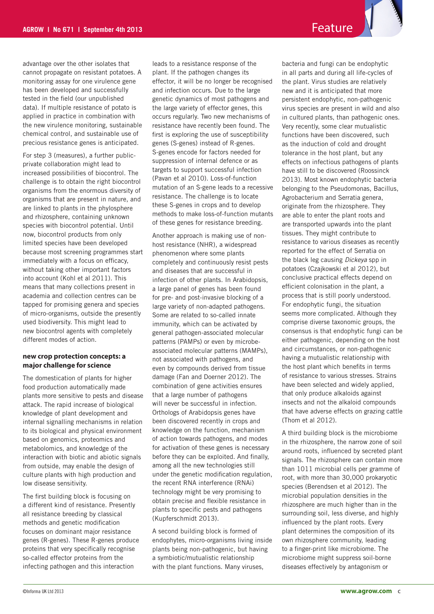advantage over the other isolates that cannot propagate on resistant potatoes. A monitoring assay for one virulence gene has been developed and successfully tested in the field (our unpublished data). If multiple resistance of potato is applied in practice in combination with the new virulence monitoring, sustainable chemical control, and sustainable use of precious resistance genes is anticipated.

For step 3 (measures), a further publicprivate collaboration might lead to increased possibilities of biocontrol. The challenge is to obtain the right biocontrol organisms from the enormous diversity of organisms that are present in nature, and are linked to plants in the phylosphere and rhizosphere, containing unknown species with biocontrol potential. Until now, biocontrol products from only limited species have been developed because most screening programmes start immediately with a focus on efficacy, without taking other important factors into account (Kohl et al 2011). This means that many collections present in academia and collection centres can be tapped for promising genera and species of micro-organisms, outside the presently used biodiversity. This might lead to new biocontrol agents with completely different modes of action.

#### **new crop protection concepts: a major challenge for science**

The domestication of plants for higher food production automatically made plants more sensitive to pests and disease attack. The rapid increase of biological knowledge of plant development and internal signalling mechanisms in relation to its biological and physical environment based on genomics, proteomics and metabolomics, and knowledge of the interaction with biotic and abiotic signals from outside, may enable the design of culture plants with high production and low disease sensitivity.

The first building block is focusing on a different kind of resistance. Presently all resistance breeding by classical methods and genetic modification focuses on dominant major resistance genes (R-genes). These R-genes produce proteins that very specifically recognise so-called effector proteins from the infecting pathogen and this interaction

leads to a resistance response of the plant. If the pathogen changes its effector, it will be no longer be recognised and infection occurs. Due to the large genetic dynamics of most pathogens and the large variety of effector genes, this occurs regularly. Two new mechanisms of resistance have recently been found. The first is exploring the use of susceptibility genes (S-genes) instead of R-genes. S-genes encode for factors needed for suppression of internal defence or as targets to support successful infection (Pavan et al 2010). Loss-of-function mutation of an S-gene leads to a recessive resistance. The challenge is to locate these S-genes in crops and to develop methods to make loss-of-function mutants of these genes for resistance breeding.

Another approach is making use of nonhost resistance (NHR), a widespread phenomenon where some plants completely and continuously resist pests and diseases that are successful in infection of other plants. In Arabidopsis, a large panel of genes has been found for pre- and post-invasive blocking of a large variety of non-adapted pathogens. Some are related to so-called innate immunity, which can be activated by general pathogen-associated molecular patterns (PAMPs) or even by microbeassociated molecular patterns (MAMPs), not associated with pathogens, and even by compounds derived from tissue damage (Fan and Doerner 2012). The combination of gene activities ensures that a large number of pathogens will never be successful in infection. Orthologs of Arabidopsis genes have been discovered recently in crops and knowledge on the function, mechanism of action towards pathogens, and modes for activation of these genes is necessary before they can be exploited. And finally, among all the new technologies still under the genetic modification regulation, the recent RNA interference (RNAi) technology might be very promising to obtain precise and flexible resistance in plants to specific pests and pathogens (Kupferschmidt 2013).

A second building block is formed of endophytes, micro-organisms living inside plants being non-pathogenic, but having a symbiotic/mutualistic relationship with the plant functions. Many viruses,

bacteria and fungi can be endophytic in all parts and during all life-cycles of the plant. Virus studies are relatively new and it is anticipated that more persistent endophytic, non-pathogenic virus species are present in wild and also in cultured plants, than pathogenic ones. Very recently, some clear mutualistic functions have been discovered, such as the induction of cold and drought tolerance in the host plant, but any effects on infectious pathogens of plants have still to be discovered (Roossinck 2013). Most known endophytic bacteria belonging to the Pseudomonas, Bacillus, Agrobacterium and Serratia genera, originate from the rhizosphere. They are able to enter the plant roots and are transported upwards into the plant tissues. They might contribute to resistance to various diseases as recently reported for the effect of Serratia on the black leg causing *Dickeya* spp in potatoes (Czajkowski et al 2012), but conclusive practical effects depend on efficient colonisation in the plant, a process that is still poorly understood. For endophytic fungi, the situation seems more complicated. Although they comprise diverse taxonomic groups, the consensus is that endophytic fungi can be either pathogenic, depending on the host and circumstances, or non-pathogenic having a mutualistic relationship with the host plant which benefits in terms of resistance to various stresses. Strains have been selected and widely applied, that only produce alkaloids against insects and not the alkaloid compounds that have adverse effects on grazing cattle (Thom et al 2012).

A third building block is the microbiome in the rhizosphere, the narrow zone of soil around roots, influenced by secreted plant signals. The rhizosphere can contain more than 1011 microbial cells per gramme of root, with more than 30,000 prokaryotic species (Berendsen et al 2012). The microbial population densities in the rhizosphere are much higher than in the surrounding soil, less diverse, and highly influenced by the plant roots. Every plant determines the composition of its own rhizosphere community, leading to a finger-print like microbiome. The microbiome might suppress soil-borne diseases effectively by antagonism or